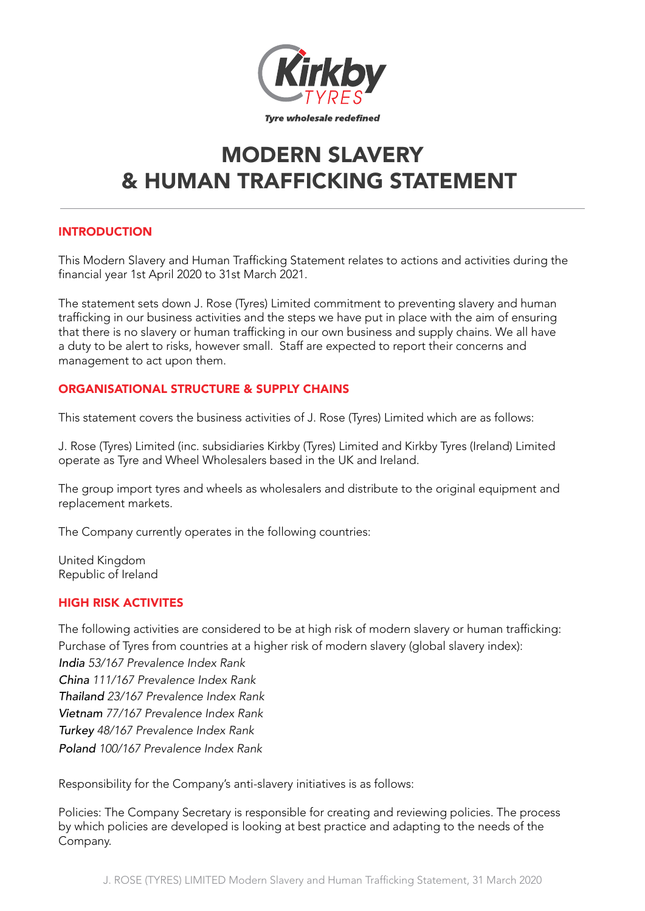

# MODERN SLAVERY & HUMAN TRAFFICKING STATEMENT

## INTRODUCTION

This Modern Slavery and Human Trafficking Statement relates to actions and activities during the financial year 1st April 2020 to 31st March 2021.

The statement sets down J. Rose (Tyres) Limited commitment to preventing slavery and human trafficking in our business activities and the steps we have put in place with the aim of ensuring that there is no slavery or human trafficking in our own business and supply chains. We all have a duty to be alert to risks, however small. Staff are expected to report their concerns and management to act upon them.

## ORGANISATIONAL STRUCTURE & SUPPLY CHAINS

This statement covers the business activities of J. Rose (Tyres) Limited which are as follows:

J. Rose (Tyres) Limited (inc. subsidiaries Kirkby (Tyres) Limited and Kirkby Tyres (Ireland) Limited operate as Tyre and Wheel Wholesalers based in the UK and Ireland.

The group import tyres and wheels as wholesalers and distribute to the original equipment and replacement markets.

The Company currently operates in the following countries:

United Kingdom Republic of Ireland

## HIGH RISK ACTIVITES

The following activities are considered to be at high risk of modern slavery or human trafficking: Purchase of Tyres from countries at a higher risk of modern slavery (global slavery index): *India 53/167 Prevalence Index Rank China 111/167 Prevalence Index Rank Thailand 23/167 Prevalence Index Rank Vietnam 77/167 Prevalence Index Rank Turkey 48/167 Prevalence Index Rank Poland 100/167 Prevalence Index Rank*

Responsibility for the Company's anti-slavery initiatives is as follows:

Policies: The Company Secretary is responsible for creating and reviewing policies. The process by which policies are developed is looking at best practice and adapting to the needs of the Company.